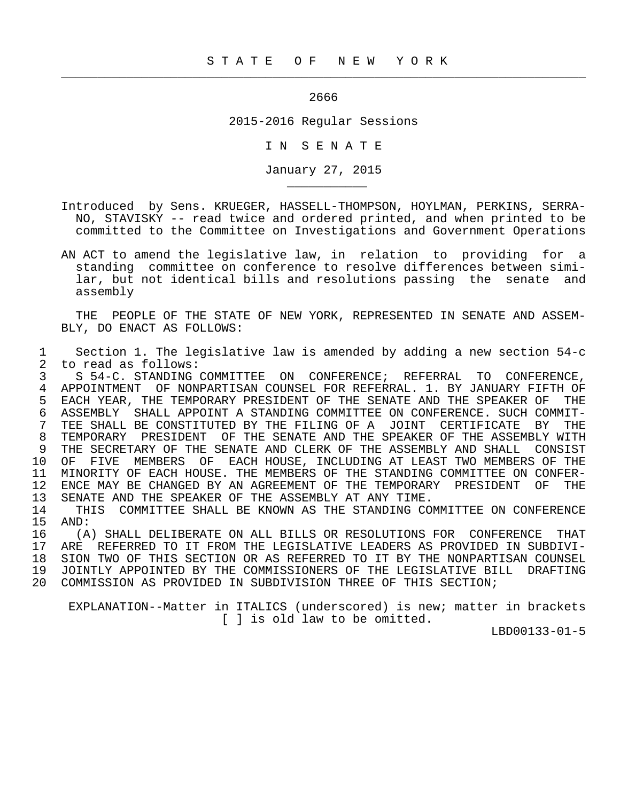## проставление производит в 2666 году в 2666 году в 2666 году в 2666 году в 2666 году в 2666 году в 2666 году в

 $\frac{1}{2}$  , and the contribution of the contribution of the contribution of the contribution of the contribution of the contribution of the contribution of the contribution of the contribution of the contribution of the c

\_\_\_\_\_\_\_\_\_\_\_

2015-2016 Regular Sessions

I N S E N A T E

January 27, 2015

- Introduced by Sens. KRUEGER, HASSELL-THOMPSON, HOYLMAN, PERKINS, SERRA- NO, STAVISKY -- read twice and ordered printed, and when printed to be committed to the Committee on Investigations and Government Operations
- AN ACT to amend the legislative law, in relation to providing for a standing committee on conference to resolve differences between simi lar, but not identical bills and resolutions passing the senate and assembly

 THE PEOPLE OF THE STATE OF NEW YORK, REPRESENTED IN SENATE AND ASSEM- BLY, DO ENACT AS FOLLOWS:

 1 Section 1. The legislative law is amended by adding a new section 54-c 2 to read as follows:<br>3 S 54-C. STANDING

3 S 54-C. STANDING COMMITTEE ON CONFERENCE; REFERRAL TO CONFERENCE,<br>4 APPOINTMENT OF NONPARTISAN COUNSEL FOR REFERRAL, 1, BY JANUARY FIFTH OF 4 APPOINTMENT OF NONPARTISAN COUNSEL FOR REFERRAL. 1. BY JANUARY FIFTH OF<br>5 EACH YEAR, THE TEMPORARY PRESIDENT OF THE SENATE AND THE SPEAKER OF THE 5 EACH YEAR, THE TEMPORARY PRESIDENT OF THE SENATE AND THE SPEAKER OF THE 6 ASSEMBLY SHALL APPOINT A STANDING COMMITTEE ON CONFERENCE. SUCH COMMIT-6 ASSEMBLY SHALL APPOINT A STANDING COMMITTEE ON CONFERENCE. SUCH COMMIT-<br>7 TEE SHALL BE CONSTITUTED BY THE FILING OF A JOINT CERTIFICATE. BY THE 7 TEE SHALL BE CONSTITUTED BY THE FILING OF A JOINT CERTIFICATE BY THE 8 TEMPORARY PRESIDENT OF THE SENATE AND THE SPEAKER OF THE ASSEMBLY WITH<br>9 THE SECRETARY OF THE SENATE AND CLERK OF THE ASSEMBLY AND SHALL CONSIST 9 THE SECRETARY OF THE SENATE AND CLERK OF THE ASSEMBLY AND SHALL CONSIST<br>10 OF FIVE MEMBERS OF EACH HOUSE, INCLUDING AT LEAST TWO MEMBERS OF THE 10 OF FIVE MEMBERS OF EACH HOUSE, INCLUDING AT LEAST TWO MEMBERS OF THE 11 MINORITY OF EACH HOUSE. THE MEMBERS OF THE STANDING COMMITTEE ON CONFER-11 MINORITY OF EACH HOUSE. THE MEMBERS OF THE STANDING COMMITTEE ON CONFER-<br>12 ENCE MAY BE CHANGED BY AN AGREEMENT OF THE TEMPORARY PRESIDENT OF THE 12 ENCE MAY BE CHANGED BY AN AGREEMENT OF THE TEMPORARY PRESIDENT OF THE 13 SENATE AND THE SPEAKER OF THE ASSEMBLY AT ANY TIME. SENATE AND THE SPEAKER OF THE ASSEMBLY AT ANY TIME.

14 THIS COMMITTEE SHALL BE KNOWN AS THE STANDING COMMITTEE ON CONFERENCE<br>15 AND: 15 AND:<br>16 (A

16 (A) SHALL DELIBERATE ON ALL BILLS OR RESOLUTIONS FOR CONFERENCE THAT<br>17 ARE REFERRED TO IT FROM THE LEGISLATIVE LEADERS AS PROVIDED IN SUBDIVI- 17 ARE REFERRED TO IT FROM THE LEGISLATIVE LEADERS AS PROVIDED IN SUBDIVI- 18 SION TWO OF THIS SECTION OR AS REFERRED TO IT BY THE NONPARTISAN COUNSEL 19 JOINTLY APPOINTED BY THE COMMISSIONERS OF THE LEGISLATIVE BILL DRAFTING<br>20 COMMISSION AS PROVIDED IN SUBDIVISION THREE OF THIS SECTION; 20 COMMISSION AS PROVIDED IN SUBDIVISION THREE OF THIS SECTION;

 EXPLANATION--Matter in ITALICS (underscored) is new; matter in brackets [ ] is old law to be omitted.

LBD00133-01-5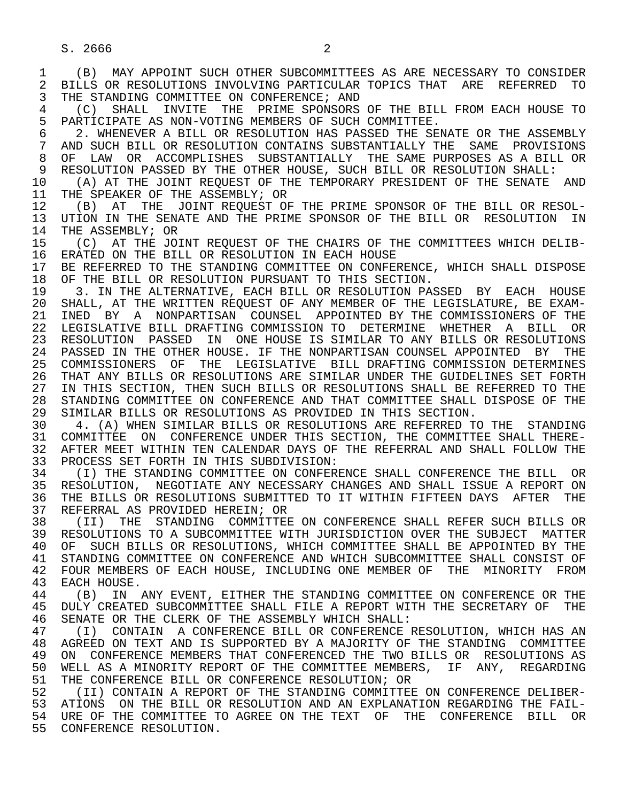1 (B) MAY APPOINT SUCH OTHER SUBCOMMITTEES AS ARE NECESSARY TO CONSIDER 2 BILLS OR RESOLUTIONS INVOLVING PARTICULAR TOPICS THAT ARE REFERRED TO<br>3 THE STANDING COMMITTEE ON CONFERENCE; AND THE STANDING COMMITTEE ON CONFERENCE; AND

4 (C) SHALL INVITE THE PRIME SPONSORS OF THE BILL FROM EACH HOUSE TO<br>5 PARTICIPATE AS NON-VOTING MEMBERS OF SUCH COMMITTEE. 5 PARTICIPATE AS NON-VOTING MEMBERS OF SUCH COMMITTEE.<br>6 2. WHENEVER A BILL OR RESOLUTION HAS PASSED THE SE

6 5 6 6 2. WHENEVER A BILL OR RESOLUTION HAS PASSED THE SENATE OR THE ASSEMBLY<br>T AND SUCH BILL OR RESOLUTION CONTAINS SUBSTANTIALLY THE SAME PROVISIONS 7 AND SUCH BILL OR RESOLUTION CONTAINS SUBSTANTIALLY THE SAME PROVISIONS<br>8 OF LAW OR ACCOMPLISHES SUBSTANTIALLY THE SAME PURPOSES AS A BILL OR 8 OF LAW OR ACCOMPLISHES SUBSTANTIALLY THE SAME PURPOSES AS A BILL OR<br>9 RESOLUTION PASSED BY THE OTHER HOUSE. SUCH BILL OR RESOLUTION SHALL: 9 RESOLUTION PASSED BY THE OTHER HOUSE, SUCH BILL OR RESOLUTION SHALL:<br>10 (A) AT THE JOINT REOUEST OF THE TEMPORARY PRESIDENT OF THE SENATE

10 (A) AT THE JOINT REQUEST OF THE TEMPORARY PRESIDENT OF THE SENATE AND 11 THE SPEAKER OF THE ASSEMBLY; OR 11 THE SPEAKER OF THE ASSEMBLY; OR<br>12 (B) AT THE JOINT REOUEST OF

12 (B) AT THE JOINT REQUEST OF THE PRIME SPONSOR OF THE BILL OR RESOL-<br>13 UTION IN THE SENATE AND THE PRIME SPONSOR OF THE BILL OR RESOLUTION IN 13 UTION IN THE SENATE AND THE PRIME SPONSOR OF THE BILL OR RESOLUTION IN 14 THE ASSEMBLY: OR THE ASSEMBLY; OR

15 (C) AT THE JOINT REQUEST OF THE CHAIRS OF THE COMMITTEES WHICH DELIB-<br>16 ERATED ON THE BILL OR RESOLUTION IN EACH HOUSE 16 ERATED ON THE BILL OR RESOLUTION IN EACH HOUSE<br>17 BE REFERRED TO THE STANDING COMMITTEE ON CONFEI

17 BE REFERRED TO THE STANDING COMMITTEE ON CONFERENCE, WHICH SHALL DISPOSE<br>18 OF THE BILL OR RESOLUTION PURSUANT TO THIS SECTION. 18 OF THE BILL OR RESOLUTION PURSUANT TO THIS SECTION.<br>19 3. IN THE ALTERNATIVE, EACH BILL OR RESOLUTION PA

19 13. IN THE ALTERNATIVE, EACH BILL OR RESOLUTION PASSED BY EACH HOUSE<br>20 SHALL, AT THE WRITTEN REOUEST OF ANY MEMBER OF THE LEGISLATURE, BE EXAM-20 SHALL, AT THE WRITTEN REQUEST OF ANY MEMBER OF THE LEGISLATURE, BE EXAM-<br>21 INED BY A NONPARTISAN COUNSEL APPOINTED BY THE COMMISSIONERS OF THE 21 INED BY A NONPARTISAN COUNSEL APPOINTED— BY THE COMMISSIONERS OF THE 22 LEGISLATIVE BILL DRAFTING COMMISSION TO DETERMINE WHETHER A BILL OR 22 LEGISLATIVE BILL DRAFTING COMMISSION TO DETERMINE WHETHER A BILL OR 23 RESOLUTION PASSED IN ONE HOUSE IS SIMILAR TO ANY BILLS OR RESOLUTIONS 24 PASSED IN THE OTHER HOUSE. IF THE NONPARTISAN COUNSEL APPOINTED BY THE<br>25 COMMISSIONERS OF THE LEGISLATIVE BILL DRAFTING COMMISSION DETERMINES 25 COMMISSIONERS OF THE LEGISLATIVE BILL DRAFTING COMMISSION DETERMINES 26 THAT ANY BILLS OR RESOLUTIONS ARE SIMILAR UNDER THE GUIDELINES SET FORTH<br>27 IN THIS SECTION, THEN SUCH BILLS OR RESOLUTIONS SHALL BE REFERRED TO THE 27 IN THIS SECTION, THEN SUCH BILLS OR RESOLUTIONS SHALL BE REFERRED TO THE 28 STANDING COMMITTEE ON CONFERENCE AND THAT COMMITTEE SHALL DISPOSE OF THE 28 STANDING COMMITTEE ON CONFERENCE AND THAT COMMITTEE SHALL DISPOSE OF THE 29 SIMILAR BILLS OR RESOLUTIONS AS PROVIDED IN THIS SECTION. 29 SIMILAR BILLS OR RESOLUTIONS AS PROVIDED IN THIS SECTION.<br>30 4. (A) WHEN SIMILAR BILLS OR RESOLUTIONS ARE REFERRED T

4. (A) WHEN SIMILAR BILLS OR RESOLUTIONS ARE REFERRED TO THE STANDING 31 COMMITTEE ON CONFERENCE UNDER THIS SECTION, THE COMMITTEE SHALL THERE-<br>32 AFTER MEET WITHIN TEN CALENDAR DAYS OF THE REFERRAL AND SHALL FOLLOW THE 32 AFTER MEET WITHIN TEN CALENDAR DAYS OF THE REFERRAL AND SHALL FOLLOW THE 33 PROCESS SET FORTH IN THIS SUBDIVISION: 33 PROCESS SET FORTH IN THIS SUBDIVISION:<br>34 (I) THE STANDING COMMITTEE ON CONFERI

34 THE STANDING COMMITTEE ON CONFERENCE SHALL CONFERENCE THE BILL OR<br>35 RESOLUTION, NEGOTIATE ANY NECESSARY CHANGES AND SHALL ISSUE A REPORT ON 35 RESOLUTION, NEGOTIATE ANY NECESSARY CHANGES AND SHALL ISSUE A REPORT ON<br>36 THE BILLS OR RESOLUTIONS SUBMITTED TO IT WITHIN FIFTEEN DAYS AFTER THE THE BILLS OR RESOLUTIONS SUBMITTED TO IT WITHIN FIFTEEN DAYS AFTER THE 37 REFERRAL AS PROVIDED HEREIN; OR<br>38 (II) THE STANDING COMMITTEE

38 (II) THE STANDING COMMITTEE ON CONFERENCE SHALL REFER SUCH BILLS OR<br>39 RESOLUTIONS TO A SUBCOMMITTEE WITH JURISDICTION OVER THE SUBJECT MATTER 39 RESOLUTIONS TO A SUBCOMMITTEE WITH JURISDICTION OVER THE SUBJECT MATTER<br>40 OF SUCH BILLS OR RESOLUTIONS, WHICH COMMITTEE SHALL BE APPOINTED BY THE 40 OF SUCH BILLS OR RESOLUTIONS, WHICH COMMITTEE SHALL BE APPOINTED BY THE 41 STANDING COMMITTEE ON CONFERENCE AND WHICH SURCOMMITTEE SHALL CONSIST OF 41 STANDING COMMITTEE ON CONFERENCE AND WHICH SUBCOMMITTEE SHALL CONSIST OF 42 FOUR MEMBERS OF EACH HOUSE, INCLUDING ONE MEMBER OF THE MINORITY FROM 42 FOUR MEMBERS OF EACH HOUSE, INCLUDING ONE MEMBER OF THE MINORITY FROM<br>43 EACH HOUSE 43 EACH HOUSE.<br>44 (B) IN.

44 (B) IN ANY EVENT, EITHER THE STANDING COMMITTEE ON CONFERENCE OR THE 45 DULY CREATED SUBCOMMITTEE SHALL FILE A REPORT WITH THE SECRETARY OF THE 45 DULY CREATED SUBCOMMITTEE SHALL FILE A REPORT WITH THE SECRETARY OF THE 46 SENATE OR THE CLERK OF THE ASSEMBLY WHICH SHALL:<br>47 (I) CONTAIN A CONFERENCE BILL OR CONFERENCE

47 (I) CONTAIN A CONFERENCE BILL OR CONFERENCE RESOLUTION, WHICH HAS AN 48 AGREED ON TEXT AND IS SUPPORTED BY A MAJORITY OF THE STANDING COMMITTEE 48 AGREED ON TEXT AND IS SUPPORTED BY A MAJORITY OF THE STANDING COMMITTEE<br>49 ON CONFERENCE MEMBERS THAT CONFERENCED THE TWO BILLS OR RESOLUTIONS AS 49 ON CONFERENCE MEMBERS THAT CONFERENCED THE TWO BILLS OR RESOLUTIONS AS<br>50 WELL AS A MINORITY REPORT OF THE COMMITTEE MEMBERS. IF ANY. REGARDING 50 WELL AS A MINORITY REPORT OF THE COMMITTEE MEMBERS, IF ANY, REGARDING<br>51 THE CONFERENCE BILL OR CONFERENCE RESOLUTION; OR 51 THE CONFERENCE BILL OR CONFERENCE RESOLUTION; OR<br>52 (II) CONTAIN A REPORT OF THE STANDING COMMITTEE

52 (II) CONTAIN A REPORT OF THE STANDING COMMITTEE ON CONFERENCE DELIBER-<br>53 ATIONS ON THE BILL OR RESOLUTION AND AN EXPLANATION REGARDING THE FAIL-53 ATIONS ON THE BILL OR RESOLUTION AND AN EXPLANATION REGARDING THE FAIL-<br>54 URE OF THE COMMITTEE TO AGREE ON THE TEXT OF THE CONFERENCE BILL OR URE OF THE COMMITTEE TO AGREE ON THE TEXT OF THE CONFERENCE BILL OR 55 CONFERENCE RESOLUTION.